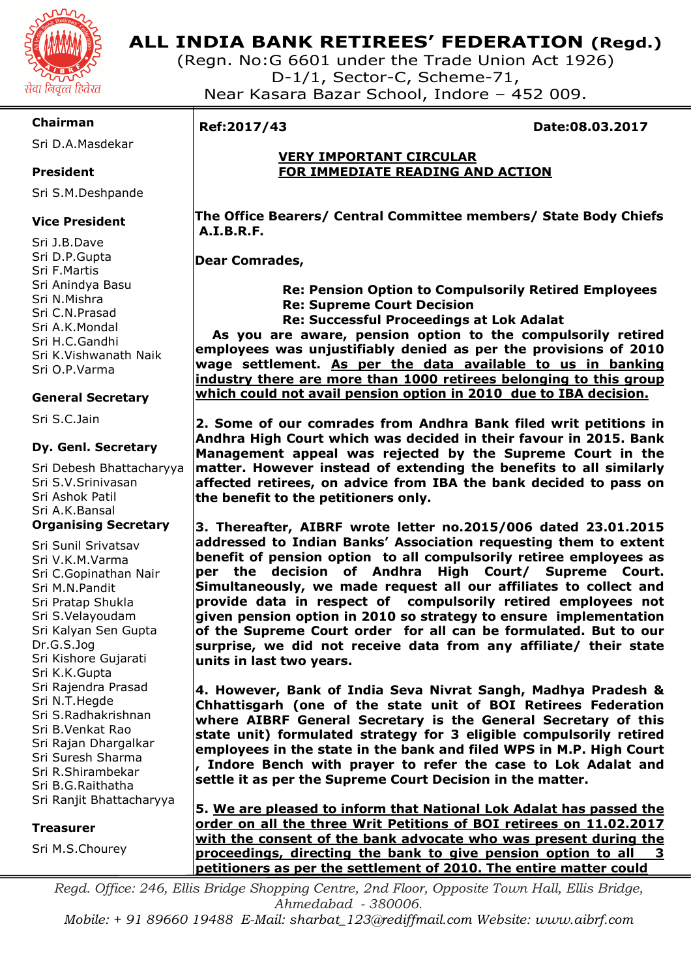

# **ALL INDIA BANK RETIREES' FEDERATION (Regd.)**

(Regn. No:G 6601 under the Trade Union Act 1926) D-1/1, Sector-C, Scheme-71, Near Kasara Bazar School, Indore – 452 009.

# **Chairman**

Sri D.A.Masdekar

# **President**

Sri S.M.Deshpande

# **Vice President**

Sri J.B.Dave Sri D.P.Gupta Sri F.Martis Sri Anindya Basu Sri N.Mishra Sri C.N.Prasad Sri A.K.Mondal Sri H.C.Gandhi Sri K.Vishwanath Naik Sri O.P.Varma

# **General Secretary**

Sri S.C.Jain

#### **Dy. Genl. Secretary**

Sri Debesh Bhattacharyya Sri S.V.Srinivasan Sri Ashok Patil Sri A.K.Bansal **Organising Secretary** 

Sri Sunil Srivatsav Sri V.K.M.Varma Sri C.Gopinathan Nair Sri M.N.Pandit Sri Pratap Shukla Sri S.Velayoudam Sri Kalyan Sen Gupta Dr.G.S.Jog Sri Kishore Gujarati Sri K.K.Gupta Sri Rajendra Prasad Sri N.T.Hegde Sri S.Radhakrishnan Sri B.Venkat Rao Sri Rajan Dhargalkar Sri Suresh Sharma Sri R.Shirambekar Sri B.G.Raithatha Sri Ranjit Bhattacharyya

#### **Treasurer**

Sri M.S.Chourey

I

# **Ref:2017/43 Date:08.03.2017**

#### **VERY IMPORTANT CIRCULAR FOR IMMEDIATE READING AND ACTION**

 **The Office Bearers/ Central Committee members/ State Body Chiefs A.I.B.R.F.** 

# **Dear Comrades,**

 **Re: Pension Option to Compulsorily Retired Employees Re: Supreme Court Decision**

 **Re: Successful Proceedings at Lok Adalat** 

 **As you are aware, pension option to the compulsorily retired employees was unjustifiably denied as per the provisions of 2010 wage settlement. As per the data available to us in banking industry there are more than 1000 retirees belonging to this group which could not avail pension option in 2010 due to IBA decision.** 

**2. Some of our comrades from Andhra Bank filed writ petitions in Andhra High Court which was decided in their favour in 2015. Bank Management appeal was rejected by the Supreme Court in the matter. However instead of extending the benefits to all similarly affected retirees, on advice from IBA the bank decided to pass on the benefit to the petitioners only.** 

**3. Thereafter, AIBRF wrote letter no.2015/006 dated 23.01.2015 addressed to Indian Banks' Association requesting them to extent benefit of pension option to all compulsorily retiree employees as per the decision of Andhra High Court/ Supreme Court. Simultaneously, we made request all our affiliates to collect and provide data in respect of compulsorily retired employees not given pension option in 2010 so strategy to ensure implementation of the Supreme Court order for all can be formulated. But to our surprise, we did not receive data from any affiliate/ their state units in last two years.** 

**4. However, Bank of India Seva Nivrat Sangh, Madhya Pradesh & Chhattisgarh (one of the state unit of BOI Retirees Federation where AIBRF General Secretary is the General Secretary of this state unit) formulated strategy for 3 eligible compulsorily retired employees in the state in the bank and filed WPS in M.P. High Court , Indore Bench with prayer to refer the case to Lok Adalat and settle it as per the Supreme Court Decision in the matter.** 

**5. We are pleased to inform that National Lok Adalat has passed the order on all the three Writ Petitions of BOI retirees on 11.02.2017 with the consent of the bank advocate who was present during the proceedings, directing the bank to give pension option to all 3 petitioners as per the settlement of 2010. The entire matter could** 

*Regd. Office: 246, Ellis Bridge Shopping Centre, 2nd Floor, Opposite Town Hall, Ellis Bridge, Ahmedabad - 380006.* 

*Mobile: + 91 89660 19488 E-Mail: sharbat\_123@rediffmail.com Website: www.aibrf.com*